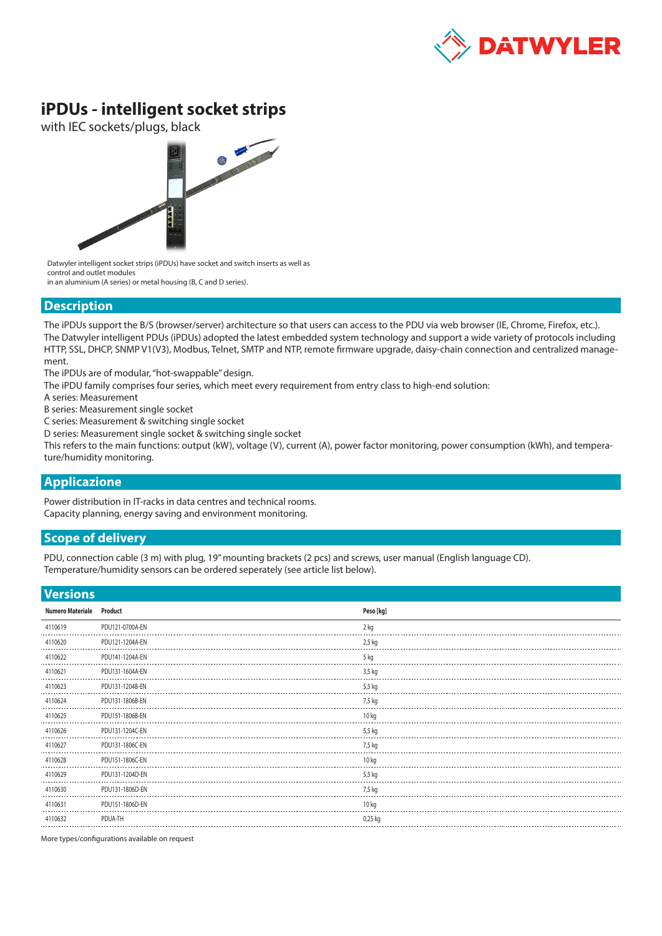

# **iPDUs - intelligent socket strips**

with IEC sockets/plugs, black



Datwyler intelligent socket strips (iPDUs) have socket and switch inserts as well as control and outlet modules

in an aluminium (A series) or metal housing (B, C and D series).

#### **Description**

The iPDUs support the B/S (browser/server) architecture so that users can access to the PDU via web browser (IE, Chrome, Firefox, etc.). The Datwyler intelligent PDUs (iPDUs) adopted the latest embedded system technology and support a wide variety of protocols including HTTP, SSL, DHCP, SNMP V1(V3), Modbus, Telnet, SMTP and NTP, remote firmware upgrade, daisy-chain connection and centralized management.

The iPDUs are of modular, "hot-swappable" design.

The iPDU family comprises four series, which meet every requirement from entry class to high-end solution:

A series: Measurement

B series: Measurement single socket

C series: Measurement & switching single socket

D series: Measurement single socket & switching single socket

This refers to the main functions: output (kW), voltage (V), current (A), power factor monitoring, power consumption (kWh), and temperature/humidity monitoring.

### **Applicazione**

Power distribution in IT-racks in data centres and technical rooms. Capacity planning, energy saving and environment monitoring.

#### **Scope of delivery**

PDU, connection cable (3 m) with plug, 19" mounting brackets (2 pcs) and screws, user manual (English language CD). Temperature/humidity sensors can be ordered seperately (see article list below).

## **Versions**

| <b>Versions</b> |                         |                 |                  |
|-----------------|-------------------------|-----------------|------------------|
|                 | <b>Numero Materiale</b> | Product         | Peso [kg]        |
|                 | 4110619                 | PDU121-0700A-EN | 2 kg             |
|                 | 4110620                 | PDU121-1204A-EN | 2,5 kg           |
|                 | 4110622                 | PDU141-1204A-EN | 5 kg             |
|                 | 4110621                 | PDU131-1604A-EN | 3,5 kg           |
|                 | 4110623                 | PDU131-1204B-EN | 5,5 kg           |
|                 | 4110624                 | PDU131-1806B-EN | 7,5 kg           |
|                 | 4110625                 | PDU151-1806B-EN | 10 kg            |
|                 | 4110626                 | PDU131-1204C-EN | 5,5 kg           |
|                 | 4110627                 | PDU131-1806C-EN | 7,5 kg           |
|                 | 4110628                 | PDU151-1806C-EN | 10 <sub>kq</sub> |
|                 | 4110629                 | PDU131-1204D-EN | 5,5 kg           |
|                 | 4110630                 | PDU131-1806D-EN | 7,5 kg           |
|                 | 4110631                 | PDU151-1806D-EN | 10 kg            |
|                 | 4110632                 | PDUA-TH         | 0,25 kg          |
|                 |                         |                 |                  |

More types/configurations available on request